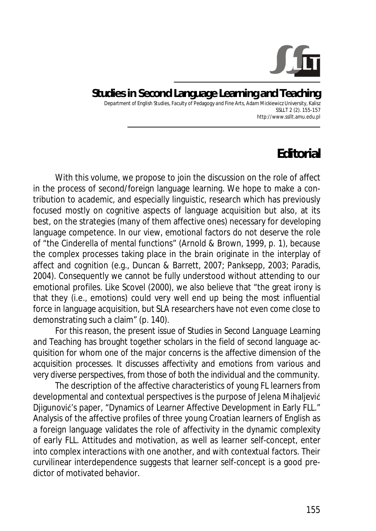

**Studies in Second Language Learning and Teaching**  Department of English Studies, Faculty of Pedagogy and Fine Arts, Adam Mickiewicz University, Kalisz SSLLT 2 (2). 155-157 http://www.ssllt.amu.edu.pl

## **Editorial**

With this volume, we propose to join the discussion on the role of affect in the process of second/foreign language learning. We hope to make a contribution to academic, and especially linguistic, research which has previously focused mostly on cognitive aspects of language acquisition but also, at its best, on the strategies (many of them affective ones) necessary for developing language competence. In our view, emotional factors do not deserve the role of "the Cinderella of mental functions" (Arnold & Brown, 1999, p. 1), because the complex processes taking place in the brain originate in the interplay of affect and cognition (e.g., Duncan & Barrett, 2007; Panksepp, 2003; Paradis, 2004). Consequently we cannot be fully understood without attending to our emotional profiles. Like Scovel (2000), we also believe that "the great irony is that they (i.e., emotions) could very well end up being the most influential force in language acquisition, but SLA researchers have not even come close to demonstrating such a claim" (p. 140).

For this reason, the present issue of *Studies in Second Language Learning and Teaching* has brought together scholars in the field of second language acquisition for whom one of the major concerns is the affective dimension of the acquisition processes. It discusses affectivity and emotions from various and very diverse perspectives, from those of both the individual and the community.

The description of the affective characteristics of young FL learners from developmental and contextual perspectives is the purpose of Jelena Mihaljević Diigunović's paper, "Dynamics of Learner Affective Development in Early FLL." Analysis of the affective profiles of three young Croatian learners of English as a foreign language validates the role of affectivity in the dynamic complexity of early FLL. Attitudes and motivation, as well as learner self-concept, enter into complex interactions with one another, and with contextual factors. Their curvilinear interdependence suggests that learner self-concept is a good predictor of motivated behavior.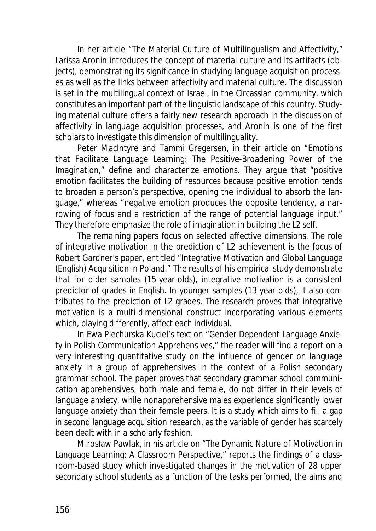In her article "The Material Culture of Multilingualism and Affectivity*,*" Larissa Aronin introduces the concept of material culture and its artifacts (objects), demonstrating its significance in studying language acquisition processes as well as the links between affectivity and material culture. The discussion is set in the multilingual context of Israel, in the Circassian community, which constitutes an important part of the linguistic landscape of this country. Studying material culture offers a fairly new research approach in the discussion of affectivity in language acquisition processes, and Aronin is one of the first scholars to investigate this dimension of multilinguality.

Peter MacIntyre and Tammi Gregersen, in their article on "Emotions that Facilitate Language Learning: The Positive-Broadening Power of the Imagination," define and characterize emotions. They argue that "positive emotion facilitates the building of resources because positive emotion tends to broaden a person's perspective, opening the individual to absorb the language," whereas "negative emotion produces the opposite tendency, a narrowing of focus and a restriction of the range of potential language input." They therefore emphasize the role of imagination in building the L2 self.

The remaining papers focus on selected affective dimensions. The role of integrative motivation in the prediction of L2 achievement is the focus of Robert Gardner's paper, entitled "Integrative Motivation and Global Language (English) Acquisition in Poland." The results of his empirical study demonstrate that for older samples (15-year-olds), integrative motivation is a consistent predictor of grades in English. In younger samples (13-year-olds), it also contributes to the prediction of L2 grades. The research proves that integrative motivation is a multi-dimensional construct incorporating various elements which, playing differently, affect each individual.

In Ewa Piechurska-Kuciel's text on "Gender Dependent Language Anxiety in Polish Communication Apprehensives*,*" the reader will find a report on a very interesting quantitative study on the influence of gender on language anxiety in a group of apprehensives in the context of a Polish secondary grammar school. The paper proves that secondary grammar school communication apprehensives, both male and female, do not differ in their levels of language anxiety, while nonapprehensive males experience significantly lower language anxiety than their female peers. It is a study which aims to fill a gap in second language acquisition research, as the variable of gender has scarcely been dealt with in a scholarly fashion.

Mirosław Pawlak, in his article on "The Dynamic Nature of Motivation in Language Learning: A Classroom Perspective," reports the findings of a classroom-based study which investigated changes in the motivation of 28 upper secondary school students as a function of the tasks performed, the aims and